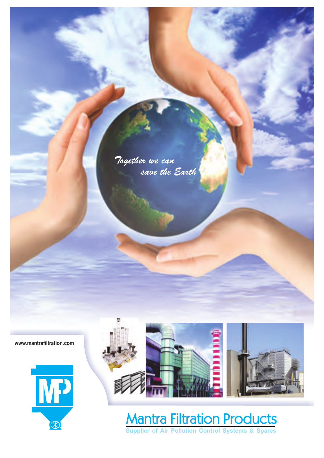Together we can save the Earth

**www.mantrafiltration.com**





# Mantra Filtration Products

**Supplier of Air Pollution Control Systems & Spares**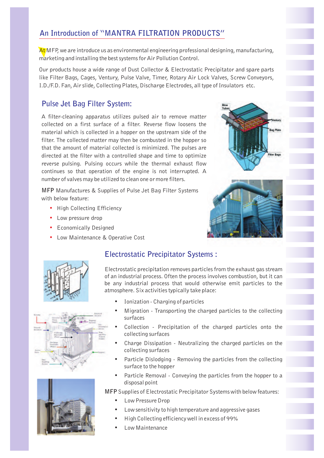# **An Introduction of "MANTRA FILTRATION PRODUCTS"**

At MFP, we are introduce us as environmental engineering professional designing, manufacturing, marketing and installing the best systems for Air Pollution Control.

Our products house a wide range of Dust Collector & Electrostatic Precipitator and spare parts like Filter Bags, Cages, Ventury, Pulse Valve, Timer, Rotary Air Lock Valves, Screw Conveyors, I.D./F.D. Fan, Air slide, Collecting Plates, Discharge Electrodes, all type of Insulators etc.

### **Pulse Jet Bag Filter System:**

A filter-cleaning apparatus utilizes pulsed air to remove matter collected on a first surface of a filter. Reverse flow loosens the material which is collected in a hopper on the upstream side of the filter. The collected matter may then be combusted in the hopper so that the amount of material collected is minimized. The pulses are directed at the filter with a controlled shape and time to optimize reverse pulsing. Pulsing occurs while the thermal exhaust flow continues so that operation of the engine is not interrupted. A number of valves may be utilized to clean one or more filters.

**MFP** Manufactures & Supplies of Pulse Jet Bag Filter Systems with below feature:

- High Collecting Efficiency
- Low pressure drop **•**
- Economically Designed **•**
- Low Maintenance & Operative Cost **•**











#### **Electrostatic Precipitator Systems :**

Electrostatic precipitation removes particles from the exhaust gas stream of an industrial process. Often the process involves combustion, but it can be any industrial process that would otherwise emit particles to the atmosphere. Six activities typically take place:

- **•** Ionization Charging of particles
- **•** Migration Transporting the charged particles to the collecting surfaces
- **•** Collection Precipitation of the charged particles onto the collecting surfaces
- **•** Charge Dissipation Neutralizing the charged particles on the collecting surfaces
- **•** Particle Dislodging Removing the particles from the collecting surface to the hopper
- **•** Particle Removal Conveying the particles from the hopper to a disposal point

**MFP** Supplies of Electrostatic Precipitator Systems with below features:

- **•** Low Pressure Drop
- **•** Low sensitivity to high temperature and aggressive gases
- **•** High Collecting efficiency well in excess of 99%
- **•** Low Maintenance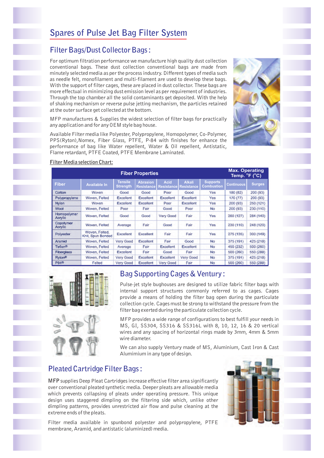# **Spares of Pulse Jet Bag Filter System**

## **Filter Bags/Dust Collector Bags :**

For optimum filtration performance we manufacture high quality dust collection conventional bags. These dust collection conventional bags are made from minutely selected media as per the process industry. Different types of media such as needle felt, monofilament and multi-filament are used to develop these bags. With the support of filter cages, these are placed in dust collector. These bags are more effectual in minimizing dust emission level as per requirement of industries. Through the top chamber all the solid contaminants get deposited. With the help of shaking mechanism or reverse pulse jetting mechanism, the particles retained at the outer surface get collected at the bottom.

MFP manufactures & Supplies the widest selection of filter bags for practically any application and for any OEM style bag house.

Available Filter media like Polyester, Polypropylene, Homopolymer, Co-Polymer, PPS(Ryton),Nomex, Fiber Glass, PTFE, P-84 with finishes for enhance the performance of bag like Water repellent, Water & Oil repellent, Antistatic, Flame retardant, PTFE Coated, PTFE Membrane Laminated.



| <b>Fiber Properties</b> |                                     |                              |                                              |                                          |                                            |                                      | <b>Max. Operating</b><br>Temp. <sup>o</sup> F ( <sup>o</sup> C) |                           |
|-------------------------|-------------------------------------|------------------------------|----------------------------------------------|------------------------------------------|--------------------------------------------|--------------------------------------|-----------------------------------------------------------------|---------------------------|
| <b>Fiber</b>            | <b>Available In</b>                 | Tensile<br>Strength,<br>Good | <b>Abrasion</b><br><b>Resistance</b><br>Good | <b>Acid</b><br><b>Resistance</b><br>Poor | <b>Alkali</b><br><b>Resistance</b><br>Good | <b>Supports</b><br>Combustion<br>Yes | Continuous                                                      | <b>Surges</b><br>200 (93) |
| Cotton                  | Woven                               |                              |                                              |                                          |                                            |                                      | 180 (82)                                                        |                           |
| Polypropylene           | Woven, Felted                       | <b>Excellent</b>             | Excellent                                    | <b>Excellent</b>                         | Excellent                                  | Yes                                  | 170 (77)                                                        | 200 (93)                  |
| Nylon                   | Woven                               | <b>Excellent</b>             | <b>Excellent</b>                             | Poor                                     | <b>Excellent</b>                           | Yes                                  | 200 (93)                                                        | 250 (121)                 |
| <b>Wool</b>             | Woven, Felted                       | Poor                         | Fair                                         | Good                                     | Poor                                       | No                                   | 200 (93)                                                        | 230 (110)                 |
| Homopolymer<br>Acrylic  | Woven, Felled                       | Good                         | Good                                         | <b>Very Good</b>                         | Fair                                       | Yes                                  | 260 (127)                                                       | 284 (140)                 |
| Copolymer<br>Acrylic    | Woven, Felled                       | Average                      | Fair                                         | Good                                     | Fair                                       | Yes                                  | 230 (110)                                                       | 248 (120)                 |
| Polyester               | Woven, Felted,<br>Knit, Spun Bonded | Excellent                    | Excellent                                    | Fair                                     | Fair                                       | Yes                                  | 275 (135)                                                       | 300 (149)                 |
| Aramid                  | Woven, Felted                       | Very Good                    | Excellent                                    | Fair                                     | Good                                       | No                                   | 375 (191)                                                       | 425 (218)                 |
| Teflon <sup>®</sup>     | Woven, Felted                       | Average                      | Fair                                         | <b>Excellent</b>                         | Excellent                                  | <b>No</b>                            | 450 (232)                                                       | 500 (260)                 |
| <b>Fiberglass</b>       | Woven, Felted                       | <b>Excellent</b>             | Fair                                         | Good                                     | Fair                                       | <b>No</b>                            | 500 (260)                                                       | 550 (288)                 |
| <b>Ryton®</b>           | Woven, Felted                       | Very Good                    | Excellent                                    | <b>Excellent</b>                         | Very Good                                  | No                                   | 375 (191)                                                       | 425 (218)                 |
| P84 <sup>®</sup>        | Felted                              | Very Good                    | Excellent                                    | Very Good                                | Fair                                       | <b>No</b>                            | 500 (260)                                                       | 550 (288)                 |

#### **Filter Media selection Chart:**



# **Bag Supporting Cages & Ventury :**

Pulse-jet style bughouses are designed to utilize fabric filter bags with internal support structures commonly referred to as cages. Cages provide a means of holding the filter bag open during the particulate collection cycle. Cages must be strong to withstand the pressure from the filter bag exerted during the particulate collection cycle.

MFP provides a wide range of configurations to best fulfill your needs in MS, GI, SS304, SS316 & SS316L with 8, 10, 12, 16 & 20 vertical wires and any spacing of horizontal rings made by 3mm, 4mm & 5mm wire diameter.

We can also supply Ventury made of MS, Aluminium, Cast Iron & Cast Alumimium in any type of design.

## **Pleated Cartridge Filter Bags :**

**MFP** supplies Deep Pleat Cartridges increase effective filter area significantly over conventional pleated synthetic media. Deeper pleats are allowable media which prevents collapsing of pleats under operating pressure. This unique design uses staggered dimpling on the filtering side which, unlike other dimpling patterns, provides unrestricted air flow and pulse cleaning at the extreme ends of the pleats.



Filter media available in spunbond polyester and polypropylene, PTFE membrane, Aramid, and antistatic (aluminized) media.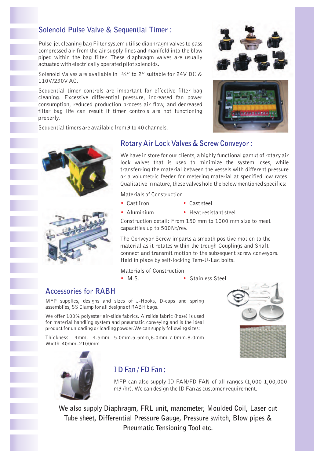## **Solenoid Pulse Valve & Sequential Timer :**

Pulse-jet cleaning bag Filter system utilise diaphragm valves to pass compressed air from the air supply lines and manifold into the blow piped within the bag filter. These diaphragm valves are usually actuated with electrically operated pilot solenoids.

Solenoid Valves are available in  $\frac{3}{4}$ " to 2" suitable for 24V DC & 110V/230V AC.

Sequential timer controls are important for effective filter bag cleaning. Excessive differential pressure, increased fan power consumption, reduced production process air flow, and decreased filter bag life can result if timer controls are not functioning properly.

Sequential timers are available from 3 to 40 channels.







### **Rotary Air Lock Valves & Screw Conveyor :**

We have in store for our clients, a highly functional gamut of rotary air lock valves that is used to minimize the system loses, while transferring the material between the vessels with different pressure or a volumetric feeder for metering material at specified low rates. Qualitative in nature, these valves hold the below mentioned specifics:

Materials of Construction

- **• • • •**
- $\cdot$  Cast steel
- $\bullet$  Heat resistant steel

Construction detail: From 150 mm to 1000 mm size to meet capacities up to 500Nt/rev.

The Conveyor Screw imparts a smooth positive motion to the material as it rotates within the trough Couplings and Shaft connect and transmit motion to the subsequent screw conveyors. Held in place by self-locking Tem-U-Lac bolts.

Materials of Construction

- **• •**
- Stainless Steel

#### **Accessories for RABH**

MFP supplies, designs and sizes of J-Hooks, D-caps and spring assemblies, SS Clamp for all designs of RABH bags.

We offer 100% polyester air-slide fabrics. Airslide fabric (hose) is used for material handling system and pneumatic conveying and is the ideal product for unloading or loading powder.We can supply following sizes:

Thickness: 4mm, 4.5mm 5.0mm.5.5mm,6.0mm.7.0mm.8.0mm Width: 40mm -2100mm





## **I D Fan / FD Fan :**

MFP can also supply ID FAN/FD FAN of all ranges (1,000-1,00,000 m3 /hr). We can design the ID Fan as customer requirement.

**We also supply Diaphragm, FRL unit, manometer, Moulded Coil, Laser cut Tube sheet, Differential Pressure Gauge, Pressure switch, Blow pipes & Pneumatic Tensioning Tool etc.**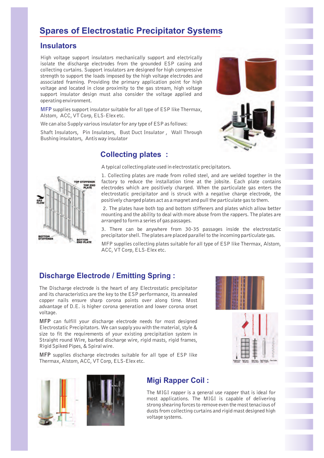# **Spares of Electrostatic Precipitator Systems**

#### **Insulators**

High voltage support insulators mechanically support and electrically isolate the discharge electrodes from the grounded ESP casing and collecting curtains. Support insulators are designed for high compressive strength to support the loads imposed by the high voltage electrodes and associated framing. Providing the primary application point for high voltage and located in close proximity to the gas stream, high voltage support insulator design must also consider the voltage applied and operating environment.

**MFP** supplies support insulator suitable for all type of ESP like Thermax, Alstom, ACC, VT Corp, ELS-Elex etc.

We can also Supply various insulator for any type of ESP as follows:

Shaft Insulators, Pin Insulators, Bust Duct Insulator , Wall Through Bushing insulators, Antis way insulator

## **Collecting plates :**



A typical collecting plate used in electrostatic precipitators.

1. Collecting plates are made from rolled steel, and are welded together in the factory to reduce the installation time at the jobsite. Each plate contains electrodes which are positively charged. When the particulate gas enters the electrostatic precipitator and is struck with a negative charge electrode, the positively charged plates act as a magnet and pull the particulate gas to them.

2. The plates have both top and bottom stiffeners and plates which allow better mounting and the ability to deal with more abuse from the rappers. The plates are arranged to form a series of gas passages.

3. There can be anywhere from 30-35 passages inside the electrostatic precipitator shell. The plates are placed parallel to the incoming particulate gas.

MFP supplies collecting plates suitable for all type of ESP like Thermax, Alstom, ACC, VT Corp, ELS-Elex etc.

# **Discharge Electrode / Emitting Spring :**

The Discharge electrode is the heart of any Electrostatic precipitator and its characteristics are the key to the ESP performance, its annealed copper nails ensure sharp corona points over along time. Most advantage of D.E. is higher corona generation and lower corona onset voltage.

**MFP** can fulfill your discharge electrode needs for most designed Electrostatic Precipitators. We can supply you with the material, style & size to fit the requirements of your existing precipitation system in Straight round Wire, barbed discharge wire, rigid masts, rigid frames, Rigid Spiked Pipes, & Spiral wire.

**MFP** supplies discharge electrodes suitable for all type of ESP like Thermax, Alstom, ACC, VT Corp, ELS-Elex etc.



## **Migi Rapper Coil :**

The MIGI rapper is a general use rapper that is ideal for most applications. The MIGI is capable of delivering strong shearing forces to remove even the most tenacious of dusts from collecting curtains and rigid mast designed high voltage systems.